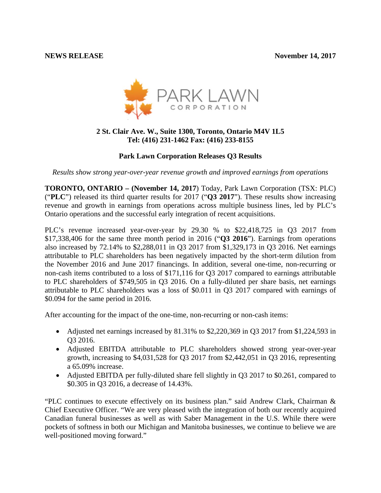

## **2 St. Clair Ave. W., Suite 1300, Toronto, Ontario M4V 1L5 Tel: (416) 231-1462 Fax: (416) 233-8155**

# **Park Lawn Corporation Releases Q3 Results**

*Results show strong year-over-year revenue growth and improved earnings from operations*

**TORONTO, ONTARIO – (November 14, 2017**) Today, Park Lawn Corporation (TSX: PLC) ("**PLC**") released its third quarter results for 2017 ("**Q3 2017**"). These results show increasing revenue and growth in earnings from operations across multiple business lines, led by PLC's Ontario operations and the successful early integration of recent acquisitions.

PLC's revenue increased year-over-year by 29.30 % to \$22,418,725 in Q3 2017 from \$17,338,406 for the same three month period in 2016 ("**Q3 2016**"). Earnings from operations also increased by 72.14% to \$2,288,011 in Q3 2017 from \$1,329,173 in Q3 2016. Net earnings attributable to PLC shareholders has been negatively impacted by the short-term dilution from the November 2016 and June 2017 financings. In addition, several one-time, non-recurring or non-cash items contributed to a loss of \$171,116 for Q3 2017 compared to earnings attributable to PLC shareholders of \$749,505 in Q3 2016. On a fully-diluted per share basis, net earnings attributable to PLC shareholders was a loss of \$0.011 in Q3 2017 compared with earnings of \$0.094 for the same period in 2016.

After accounting for the impact of the one-time, non-recurring or non-cash items:

- Adjusted net earnings increased by 81.31% to \$2,220,369 in Q3 2017 from \$1,224,593 in Q3 2016.
- Adjusted EBITDA attributable to PLC shareholders showed strong year-over-year growth, increasing to \$4,031,528 for Q3 2017 from \$2,442,051 in Q3 2016, representing a 65.09% increase.
- Adjusted EBITDA per fully-diluted share fell slightly in Q3 2017 to \$0.261, compared to \$0.305 in Q3 2016, a decrease of 14.43%.

"PLC continues to execute effectively on its business plan." said Andrew Clark, Chairman & Chief Executive Officer. "We are very pleased with the integration of both our recently acquired Canadian funeral businesses as well as with Saber Management in the U.S. While there were pockets of softness in both our Michigan and Manitoba businesses, we continue to believe we are well-positioned moving forward."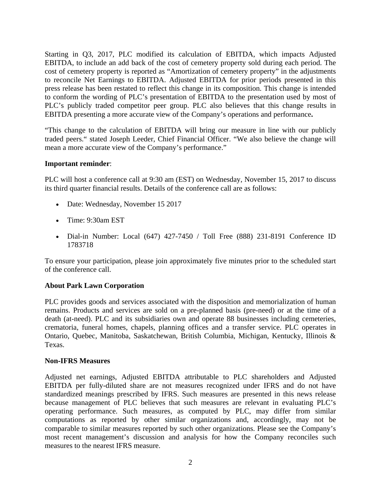Starting in Q3, 2017, PLC modified its calculation of EBITDA, which impacts Adjusted EBITDA, to include an add back of the cost of cemetery property sold during each period. The cost of cemetery property is reported as "Amortization of cemetery property" in the adjustments to reconcile Net Earnings to EBITDA. Adjusted EBITDA for prior periods presented in this press release has been restated to reflect this change in its composition. This change is intended to conform the wording of PLC's presentation of EBITDA to the presentation used by most of PLC's publicly traded competitor peer group. PLC also believes that this change results in EBITDA presenting a more accurate view of the Company's operations and performance**.** 

"This change to the calculation of EBITDA will bring our measure in line with our publicly traded peers." stated Joseph Leeder, Chief Financial Officer. "We also believe the change will mean a more accurate view of the Company's performance."

## **Important reminder**:

PLC will host a conference call at 9:30 am (EST) on Wednesday, November 15, 2017 to discuss its third quarter financial results. Details of the conference call are as follows:

- Date: Wednesday, November 15 2017
- Time: 9:30am EST
- Dial-in Number: Local (647) 427-7450 / Toll Free (888) 231-8191 Conference ID 1783718

To ensure your participation, please join approximately five minutes prior to the scheduled start of the conference call.

# **About Park Lawn Corporation**

PLC provides goods and services associated with the disposition and memorialization of human remains. Products and services are sold on a pre-planned basis (pre-need) or at the time of a death (at-need). PLC and its subsidiaries own and operate 88 businesses including cemeteries, crematoria, funeral homes, chapels, planning offices and a transfer service. PLC operates in Ontario, Quebec, Manitoba, Saskatchewan, British Columbia, Michigan, Kentucky, Illinois & Texas.

## **Non**‐**IFRS Measures**

Adjusted net earnings, Adjusted EBITDA attributable to PLC shareholders and Adjusted EBITDA per fully-diluted share are not measures recognized under IFRS and do not have standardized meanings prescribed by IFRS. Such measures are presented in this news release because management of PLC believes that such measures are relevant in evaluating PLC's operating performance. Such measures, as computed by PLC, may differ from similar computations as reported by other similar organizations and, accordingly, may not be comparable to similar measures reported by such other organizations. Please see the Company's most recent management's discussion and analysis for how the Company reconciles such measures to the nearest IFRS measure.